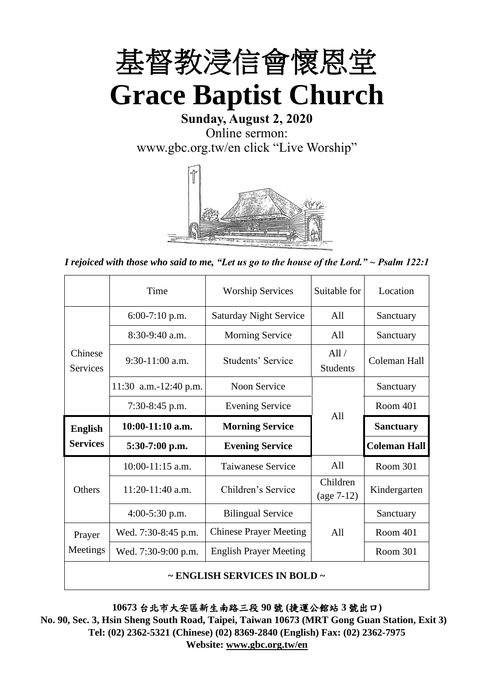

**Sunday, August 2, 2020** Online sermon: [www.gbc.org.tw/en](http://www.gbc.org.tw/en) click "Live Worship"



*I rejoiced with those who said to me, "Let us go to the house of the Lord." ~ Psalm 122:1*

|                            | Time                  | <b>Worship Services</b>       | Suitable for             | Location            |
|----------------------------|-----------------------|-------------------------------|--------------------------|---------------------|
|                            | $6:00-7:10$ p.m.      | <b>Saturday Night Service</b> | All                      | Sanctuary           |
|                            | $8:30-9:40$ a.m.      | <b>Morning Service</b>        | All                      | Sanctuary           |
| Chinese<br><b>Services</b> | $9:30-11:00$ a.m.     | Students' Service             | All/<br><b>Students</b>  | Coleman Hall        |
|                            | 11:30 a.m.-12:40 p.m. | Noon Service                  |                          | Sanctuary           |
|                            | 7:30-8:45 p.m.        | <b>Evening Service</b>        | A11                      | Room 401            |
|                            |                       |                               |                          |                     |
| <b>English</b>             | $10:00-11:10$ a.m.    | <b>Morning Service</b>        |                          | <b>Sanctuary</b>    |
| <b>Services</b>            | $5:30-7:00$ p.m.      | <b>Evening Service</b>        |                          | <b>Coleman Hall</b> |
|                            | $10:00-11:15$ a.m.    | <b>Taiwanese Service</b>      | A11                      | Room 301            |
| Others                     | 11:20-11:40 a.m.      | Children's Service            | Children<br>$(age 7-12)$ | Kindergarten        |
|                            | $4:00-5:30$ p.m.      | <b>Bilingual Service</b>      |                          | Sanctuary           |
| Prayer                     | Wed. 7:30-8:45 p.m.   | <b>Chinese Prayer Meeting</b> | A11                      | Room 401            |
| Meetings                   | Wed. 7:30-9:00 p.m.   | <b>English Prayer Meeting</b> |                          | Room 301            |

**10673** 台北市大安區新生南路三段 **90** 號 **(**捷運公館站 **3** 號出口**)**

**No. 90, Sec. 3, Hsin Sheng South Road, Taipei, Taiwan 10673 (MRT Gong Guan Station, Exit 3) Tel: (02) 2362-5321 (Chinese) (02) 8369-2840 (English) Fax: (02) 2362-7975 Website: [www.gbc.org.tw/en](http://www.gbc.org.tw/en)**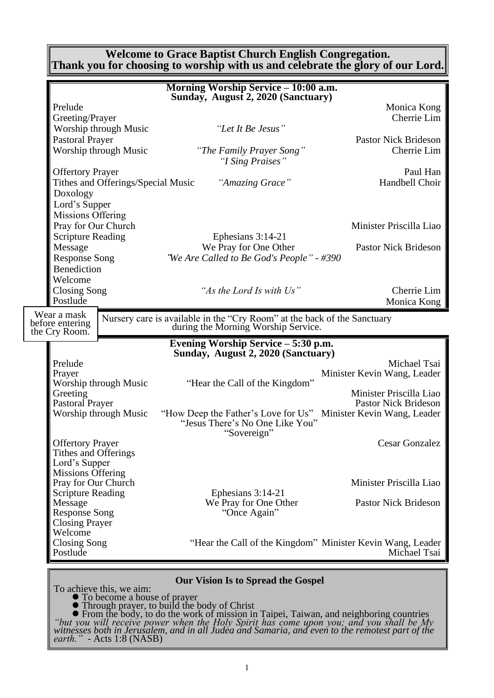#### **Welcome to Grace Baptist Church English Congregation. Thank you for choosing to worship with us and celebrate the glory of our Lord.**

|                                     |                                    | Morning Worship Service - 10:00 a.m.                                                                            |                             |
|-------------------------------------|------------------------------------|-----------------------------------------------------------------------------------------------------------------|-----------------------------|
|                                     |                                    | Sunday, August 2, 2020 (Sanctuary)                                                                              |                             |
| Prelude                             |                                    |                                                                                                                 | Monica Kong                 |
| Greeting/Prayer                     |                                    |                                                                                                                 | Cherrie Lim                 |
|                                     | Worship through Music              | "Let It Be Jesus"                                                                                               |                             |
| <b>Pastoral Prayer</b>              |                                    |                                                                                                                 | <b>Pastor Nick Brideson</b> |
|                                     | Worship through Music              | "The Family Prayer Song"<br>"I Sing Praises"                                                                    | Cherrie Lim                 |
| <b>Offertory Prayer</b>             |                                    |                                                                                                                 | Paul Han                    |
|                                     | Tithes and Offerings/Special Music | "Amazing Grace"                                                                                                 | Handbell Choir              |
| Doxology                            |                                    |                                                                                                                 |                             |
| Lord's Supper                       |                                    |                                                                                                                 |                             |
| Missions Offering                   |                                    |                                                                                                                 |                             |
| Pray for Our Church                 |                                    |                                                                                                                 | Minister Priscilla Liao     |
| <b>Scripture Reading</b><br>Message |                                    | Ephesians 3:14-21<br>We Pray for One Other                                                                      | <b>Pastor Nick Brideson</b> |
| <b>Response Song</b>                |                                    | "We Are Called to Be God's People" - #390                                                                       |                             |
| Benediction                         |                                    |                                                                                                                 |                             |
| Welcome                             |                                    |                                                                                                                 |                             |
| <b>Closing Song</b>                 |                                    | "As the Lord Is with Us"                                                                                        | Cherrie Lim                 |
| Postlude                            |                                    |                                                                                                                 | Monica Kong                 |
| Wear a mask                         |                                    |                                                                                                                 |                             |
| before entering<br>the Cry Room.    |                                    | Nursery care is available in the "Cry Room" at the back of the Sanctuary<br>during the Morning Worship Service. |                             |
|                                     |                                    |                                                                                                                 |                             |
|                                     |                                    |                                                                                                                 |                             |
|                                     |                                    | Evening Worship Service - 5:30 p.m.                                                                             |                             |
|                                     |                                    | Sunday, August 2, 2020 (Sanctuary)                                                                              |                             |
| Prelude                             |                                    |                                                                                                                 | Michael Tsai                |
| Prayer                              | Worship through Music              | "Hear the Call of the Kingdom"                                                                                  | Minister Kevin Wang, Leader |
| Greeting                            |                                    |                                                                                                                 | Minister Priscilla Liao     |
| <b>Pastoral Prayer</b>              |                                    |                                                                                                                 | <b>Pastor Nick Brideson</b> |
|                                     | Worship through Music              | "How Deep the Father's Love for Us" Minister Kevin Wang, Leader                                                 |                             |
|                                     |                                    | "Jesus There's No One Like You"                                                                                 |                             |
| <b>Offertory Prayer</b>             |                                    | "Sovereign"                                                                                                     | <b>Cesar Gonzalez</b>       |
| Tithes and Offerings                |                                    |                                                                                                                 |                             |
| Lord's Supper                       |                                    |                                                                                                                 |                             |
| <b>Missions Offering</b>            |                                    |                                                                                                                 |                             |
| Pray for Our Church                 |                                    |                                                                                                                 | Minister Priscilla Liao     |
| <b>Scripture Reading</b>            |                                    | Ephesians 3:14-21                                                                                               |                             |
| Message<br><b>Response Song</b>     |                                    | We Pray for One Other<br>"Once Again"                                                                           | <b>Pastor Nick Brideson</b> |
| <b>Closing Prayer</b>               |                                    |                                                                                                                 |                             |
| Welcome                             |                                    |                                                                                                                 |                             |
| Closing Song<br>Postlude            |                                    | "Hear the Call of the Kingdom" Minister Kevin Wang, Leader                                                      | Michael Tsai                |
|                                     |                                    |                                                                                                                 |                             |

⚫ To become a house of prayer

⚫ Through prayer, to build the body of Christ

⚫ From the body, to do the work of mission in Taipei, Taiwan, and neighboring countries *"but you will receive power when the Holy Spirit has come upon you; and you shall be My witnesses both in Jerusalem, and in all Judea and Samaria, and even to the remotest part of the earth." -* Acts 1:8 (NASB)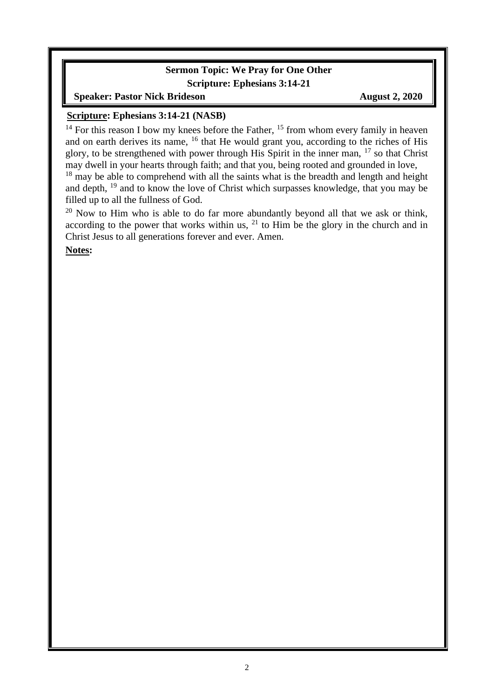#### **Sermon Topic: We Pray for One Other Scripture: Ephesians 3:14-21**

**Speaker: Pastor Nick Brideson August 2, 2020** 

#### **Scripture: Ephesians 3:14-21 (NASB)**

 $14$  For this reason I bow my knees before the Father,  $15$  from whom every family in heaven and on earth derives its name, <sup>16</sup> that He would grant you, according to the riches of His glory, to be strengthened with power through His Spirit in the inner man,  $17$  so that Christ may dwell in your hearts through faith; and that you, being rooted and grounded in love,

 $18$  may be able to comprehend with all the saints what is the breadth and length and height and depth, <sup>19</sup> and to know the love of Christ which surpasses knowledge, that you may be filled up to all the fullness of God.

 $20$  Now to Him who is able to do far more abundantly beyond all that we ask or think, according to the power that works within us,  $21$  to Him be the glory in the church and in Christ Jesus to all generations forever and ever. Amen.

**Notes:**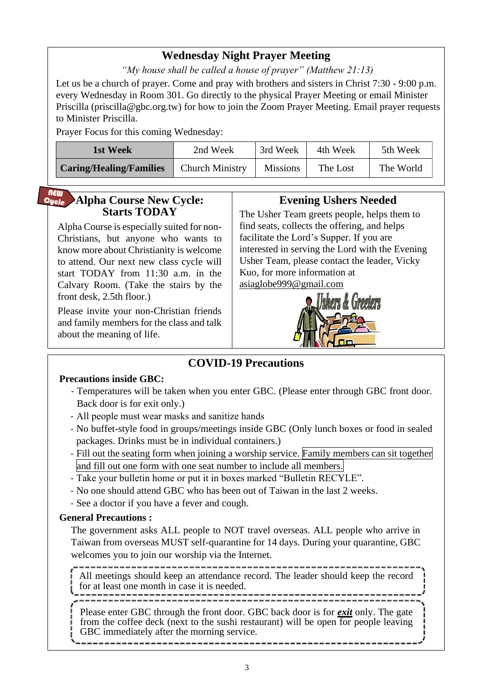### **Wednesday Night Prayer Meeting**

*"My house shall be called a house of prayer" (Matthew 21:13)*

Let us be a church of prayer. Come and pray with brothers and sisters in Christ 7:30 - 9:00 p.m. every Wednesday in Room 301. Go directly to the physical Prayer Meeting or email Minister Priscilla (priscilla@gbc.org.tw) for how to join the Zoom Prayer Meeting. Email prayer requests to Minister Priscilla.

Prayer Focus for this coming Wednesday:

| 1st Week                       | 2nd Week               | 3rd Week        | 4th Week | 5th Week  |
|--------------------------------|------------------------|-----------------|----------|-----------|
| <b>Caring/Healing/Families</b> | <b>Church Ministry</b> | <b>Missions</b> | The Lost | The World |

#### **NEW Alpha Course New Cycle:** Cycle **Starts TODAY**

Alpha Course is especially suited for non-Christians, but anyone who wants to know more about Christianity is welcome to attend. Our next new class cycle will start TODAY from 11:30 a.m. in the Calvary Room. (Take the stairs by the front desk, 2.5th floor.)

Please invite your non-Christian friends and family members for the class and talk about the meaning of life.

#### **Evening Ushers Needed**

The Usher Team greets people, helps them to find seats, collects the offering, and helps facilitate the Lord's Supper. If you are interested in serving the Lord with the Evening Usher Team, please contact the leader, Vicky Kuo, for more information at [asiaglobe999@gmail.com](mailto:asiaglobe999@gmail.com)



### **COVID-19 Precautions**

#### **Precautions inside GBC:**

- Temperatures will be taken when you enter GBC. (Please enter through GBC front door. Back door is for exit only.)
- All people must wear masks and sanitize hands
- No buffet-style food in groups/meetings inside GBC (Only lunch boxes or food in sealed packages. Drinks must be in individual containers.)
- Fill out the seating form when joining a worship service. Family members can sit together and fill out one form with one seat number to include all members.
- Take your bulletin home or put it in boxes marked "Bulletin RECYLE".
- No one should attend GBC who has been out of Taiwan in the last 2 weeks.
- See a doctor if you have a fever and cough.

#### **General Precautions :**

The government asks ALL people to NOT travel overseas. ALL people who arrive in Taiwan from overseas MUST self-quarantine for 14 days. During your quarantine, GBC welcomes you to join our worship via the Internet.

-------------------------------All meetings should keep an attendance record. The leader should keep the record for at least one month in case it is needed.

Please enter GBC through the front door. GBC back door is for *exit* only. The gate from the coffee deck (next to the sushi restaurant) will be open for people leaving GBC immediately after the morning service.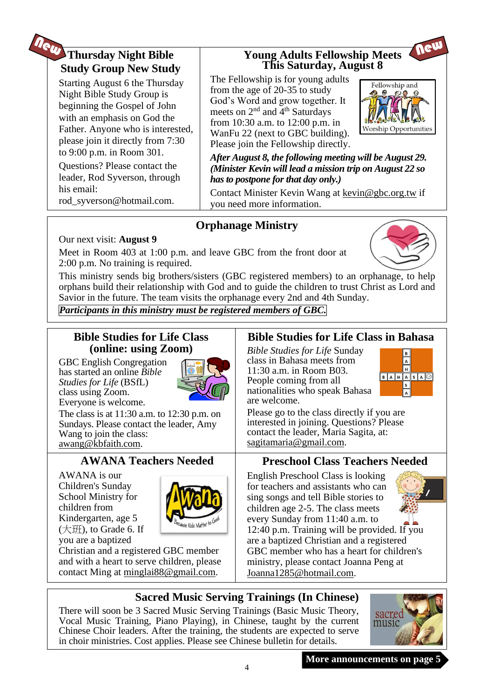# **Thursday Night Bible Study Group New Study**

Starting August 6 the Thursday Night Bible Study Group is beginning the Gospel of John with an emphasis on God the Father. Anyone who is interested, please join it directly from 7:30 to 9:00 p.m. in Room 301.

Questions? Please contact the leader, Rod Syverson, through his email:

rod\_syverson@hotmail.com.

#### **Young Adults Fellowship Meets This Saturday, August 8**

The Fellowship is for young adults from the age of 20-35 to study God's Word and grow together. It meets on  $2<sup>nd</sup>$  and  $4<sup>th</sup>$  Saturdays from 10:30 a.m. to 12:00 p.m. in WanFu 22 (next to GBC building). Please join the Fellowship directly.



Neu

*After August 8, the following meeting will be August 29. (Minister Kevin will lead a mission trip on August 22 so has to postpone for that day only.)*

Contact Minister Kevin Wang at kevin@gbc.org.tw if you need more information.

## **Orphanage Ministry**

#### Our next visit: **August 9**

Meet in Room 403 at 1:00 p.m. and leave GBC from the front door at 2:00 p.m. No training is required.

This ministry sends big brothers/sisters (GBC registered members) to an orphanage, to help orphans build their relationship with God and to guide the children to trust Christ as Lord and Savior in the future. The team visits the orphanage every 2nd and 4th Sunday.

*Participants in this ministry must be registered members of GBC.*

#### **Bible Studies for Life Class (online: using Zoom)**

GBC English Congregation has started an online *Bible Studies for Life* (BSfL) class using Zoom. Everyone is welcome.



The class is at 11:30 a.m. to 12:30 p.m. on Sundays. Please contact the leader, Amy Wang to join the class: [awang@kbfaith.com.](mailto:awang@kbfaith.com)

## **AWANA Teachers Needed**

AWANA is our Children's Sunday School Ministry for children from Kindergarten, age 5 (大班), to Grade 6. If you are a baptized



Christian and a registered GBC member and with a heart to serve children, please contact Ming at [minglai88@gmail.com.](mailto:minglai88@gmail.com)

### **Bible Studies for Life Class in Bahasa**

*Bible Studies for Life* Sunday class in Bahasa meets from 11:30 a.m. in Room B03. People coming from all nationalities who speak Bahasa are welcome.



Please go to the class directly if you are interested in joining. Questions? Please contact the leader, Maria Sagita, at: sagitamaria@gmail.com.

### **Preschool Class Teachers Needed**

English Preschool Class is looking for teachers and assistants who can sing songs and tell Bible stories to children age 2-5. The class meets every Sunday from 11:40 a.m. to



12:40 p.m. Training will be provided. If you are a baptized Christian and a registered GBC member who has a heart for children's ministry, please contact Joanna Peng at Joanna1285@hotmail.com.

### **Sacred Music Serving Trainings (In Chinese)**

There will soon be 3 Sacred Music Serving Trainings (Basic Music Theory, Vocal Music Training, Piano Playing), in Chinese, taught by the current Chinese Choir leaders. After the training, the students are expected to serve in choir ministries. Cost applies. Please see Chinese bulletin for details.



**More announcements on page 5**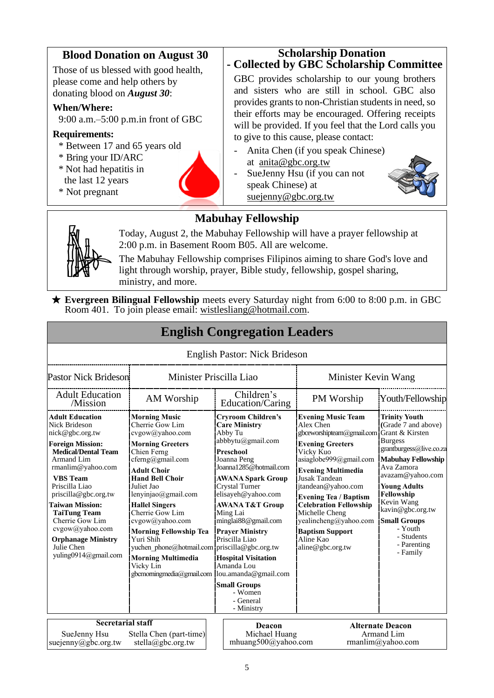#### **Blood Donation on August 30 Scholarship Donation**

Those of us blessed with good health, please come and help others by donating blood on *August 30*:

#### **When/Where:**

9:00 a.m.–5:00 p.m.in front of GBC

#### **Requirements:**

- \* Between 17 and 65 years old
- \* Bring your ID/ARC
- \* Not had hepatitis in
- the last 12 years
- \* Not pregnant



# **- Collected by GBC Scholarship Committee**

GBC provides scholarship to our young brothers and sisters who are still in school. GBC also provides grants to non-Christian students in need, so their efforts may be encouraged. Offering receipts will be provided. If you feel that the Lord calls you to give to this cause, please contact:

- Anita Chen (if you speak Chinese) at anita@gbc.org.tw
- SueJenny Hsu (if you can not speak Chinese) at suejenny@gbc.org.tw



### **Mabuhay Fellowship**



Today, August 2, the Mabuhay Fellowship will have a prayer fellowship at 2:00 p.m. in Basement Room B05. All are welcome.

The Mabuhay Fellowship comprises Filipinos aiming to share God's love and light through worship, prayer, Bible study, fellowship, gospel sharing, ministry, and more.

★ **Evergreen Bilingual Fellowship** meets every Saturday night from 6:00 to 8:00 p.m. in GBC Room 401. To join please email: [wistlesliang@hotmail.com.](mailto:wistlesliang@hotmail.com)

|                                                                                                                                                                                                                                                                                                                                                                                                |                                                                                                                                                                                                                                                                                                                                                                                                                                                                         |                         | <b>English Congregation Leaders</b>                                                                                                                                                                                                                                                                                                                                                                                               |                                                                                                                                                                                                                                                                                                                                                                                                         |                                                                                                                                                                                                                                                                                                           |  |
|------------------------------------------------------------------------------------------------------------------------------------------------------------------------------------------------------------------------------------------------------------------------------------------------------------------------------------------------------------------------------------------------|-------------------------------------------------------------------------------------------------------------------------------------------------------------------------------------------------------------------------------------------------------------------------------------------------------------------------------------------------------------------------------------------------------------------------------------------------------------------------|-------------------------|-----------------------------------------------------------------------------------------------------------------------------------------------------------------------------------------------------------------------------------------------------------------------------------------------------------------------------------------------------------------------------------------------------------------------------------|---------------------------------------------------------------------------------------------------------------------------------------------------------------------------------------------------------------------------------------------------------------------------------------------------------------------------------------------------------------------------------------------------------|-----------------------------------------------------------------------------------------------------------------------------------------------------------------------------------------------------------------------------------------------------------------------------------------------------------|--|
|                                                                                                                                                                                                                                                                                                                                                                                                |                                                                                                                                                                                                                                                                                                                                                                                                                                                                         |                         | English Pastor: Nick Brideson                                                                                                                                                                                                                                                                                                                                                                                                     |                                                                                                                                                                                                                                                                                                                                                                                                         |                                                                                                                                                                                                                                                                                                           |  |
| <b>Pastor Nick Brideson</b>                                                                                                                                                                                                                                                                                                                                                                    |                                                                                                                                                                                                                                                                                                                                                                                                                                                                         | Minister Priscilla Liao |                                                                                                                                                                                                                                                                                                                                                                                                                                   | Minister Kevin Wang                                                                                                                                                                                                                                                                                                                                                                                     |                                                                                                                                                                                                                                                                                                           |  |
| <b>Adult Education</b><br>/Mission                                                                                                                                                                                                                                                                                                                                                             | AM Worship                                                                                                                                                                                                                                                                                                                                                                                                                                                              |                         | Children's<br>Education/Caring                                                                                                                                                                                                                                                                                                                                                                                                    | PM Worship                                                                                                                                                                                                                                                                                                                                                                                              | Youth/Fellowship                                                                                                                                                                                                                                                                                          |  |
| <b>Adult Education</b><br><b>Nick Brideson</b><br>nick@gbc.org.tw<br><b>Foreign Mission:</b><br><b>Medical/Dental Team</b><br><b>Armand Lim</b><br>$r$ manlim@yahoo.com<br><b>VBS</b> Team<br>Priscilla Liao<br>priscilla@gbc.org.tw<br><b>Taiwan Mission:</b><br><b>TaiTung Team</b><br>Cherrie Gow Lim<br>cvgow@yahoo.com<br><b>Orphanage Ministry</b><br>Julie Chen<br>yuling0914@gmail.com | <b>Morning Music</b><br>Cherrie Gow Lim<br>cvgow@yahoo.com<br><b>Morning Greeters</b><br>Chien Ferng<br>cferng@gmail.com<br><b>Adult Choir</b><br><b>Hand Bell Choir</b><br>Juliet Jao<br>lenyinjao@gmail.com<br><b>Hallel Singers</b><br>Cherrie Gow Lim<br>cvgow@yahoo.com<br><b>Morning Fellowship Tea</b><br>Yuri Shih<br>yuchen phone@hotmail.com priscilla@gbc.org.tw<br><b>Morning Multimedia</b><br>Vicky Lin<br>gbcmomingmedia@gmail.com  lou.amanda@gmail.com |                         | <b>Cryroom Children's</b><br><b>Care Ministry</b><br>Abby Tu<br>abbbytu@gmail.com<br>Preschool<br>Joanna Peng<br>Joanna1285@hotmail.com<br><b>AWANA Spark Group</b><br>Crystal Turner<br>elisayeh@yahoo.com<br><b>AWANA T&amp;T Group</b><br>Ming Lai<br>minglai88@gmail.com<br><b>Prayer Ministry</b><br>Priscilla Liao<br><b>Hospital Visitation</b><br>Amanda Lou<br><b>Small Groups</b><br>- Women<br>- General<br>- Ministry | <b>Evening Music Team</b><br>Alex Chen<br>gbceworshipteam@gmail.com Grant & Kirsten<br><b>Evening Greeters</b><br>Vicky Kuo<br>asiaglobe999@gmail.com<br><b>Evening Multimedia</b><br><b>Jusak Tandean</b><br>jtandean@yahoo.com<br><b>Evening Tea / Baptism</b><br><b>Celebration Fellowship</b><br>Michelle Cheng<br>yealincheng@yahoo.com<br><b>Baptism Support</b><br>Aline Kao<br>aline@gbc.org.tw | <b>Trinity Youth</b><br>(Grade 7 and above)<br><b>Burgess</b><br>grantburgess@live.co.za<br><b>Mabuhay Fellowship</b><br>Ava Zamora<br>avazam@yahoo.com<br><b>Young Adults</b><br>Fellowship<br>Kevin Wang<br>kavin@gbc.org.tw<br><b>Small Groups</b><br>- Youth<br>- Students<br>- Parenting<br>- Family |  |
| <b>Secretarial staff</b>                                                                                                                                                                                                                                                                                                                                                                       |                                                                                                                                                                                                                                                                                                                                                                                                                                                                         |                         | <b>Deacon</b>                                                                                                                                                                                                                                                                                                                                                                                                                     |                                                                                                                                                                                                                                                                                                                                                                                                         | <b>Alternate Deacon</b>                                                                                                                                                                                                                                                                                   |  |
| SueJenny Hsu<br>suejenny@gbc.org.tw                                                                                                                                                                                                                                                                                                                                                            | Stella Chen (part-time)<br>stella@gbc.org.tw                                                                                                                                                                                                                                                                                                                                                                                                                            |                         | Michael Huang<br>mhuang500@yahoo.com                                                                                                                                                                                                                                                                                                                                                                                              |                                                                                                                                                                                                                                                                                                                                                                                                         | Armand Lim<br>rmanlim@yahoo.com                                                                                                                                                                                                                                                                           |  |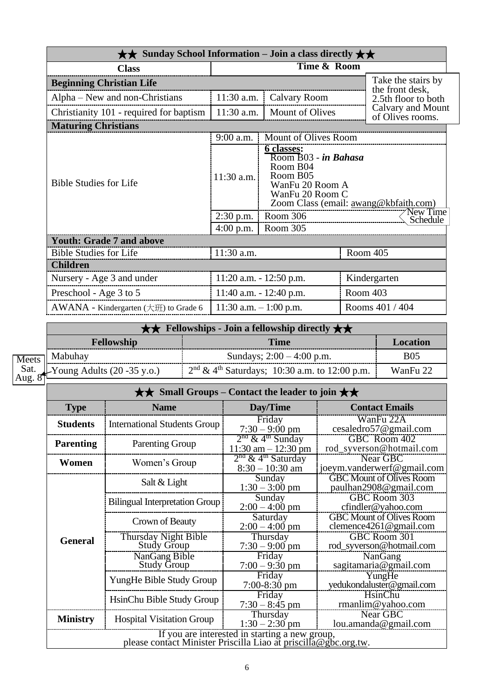| $\star\star$ Sunday School Information – Join a class directly $\star\star$ |                                                                                                                                                           |                           |          |                                       |
|-----------------------------------------------------------------------------|-----------------------------------------------------------------------------------------------------------------------------------------------------------|---------------------------|----------|---------------------------------------|
| <b>Class</b>                                                                |                                                                                                                                                           |                           |          |                                       |
| <b>Beginning Christian Life</b>                                             |                                                                                                                                                           |                           |          | Take the stairs by<br>the front desk, |
| Alpha – New and non-Christians                                              | 11:30 a.m.                                                                                                                                                | Calvary Room              |          | 2.5th floor to both                   |
| Christianity 101 - required for baptism                                     | 11:30 a.m.                                                                                                                                                | <b>Mount of Olives</b>    |          | Calvary and Mount<br>of Olives rooms. |
| <b>Maturing Christians</b>                                                  |                                                                                                                                                           |                           |          |                                       |
|                                                                             | $9:00$ a.m.                                                                                                                                               | Mount of Olives Room      |          |                                       |
| <b>Bible Studies for Life</b>                                               | 6 classes:<br>Room B03 - in Bahasa<br>Room B04<br>Room B05<br>$11:30$ a.m.<br>WanFu 20 Room A<br>WanFu 20 Room C<br>Zoom Class (email: awang@kbfaith.com) |                           | New Time |                                       |
|                                                                             | $2:30$ p.m.<br>$4:00$ p.m.                                                                                                                                | Room 306<br>Room 305      |          | Schedule                              |
| <b>Youth: Grade 7 and above</b>                                             |                                                                                                                                                           |                           |          |                                       |
| <b>Bible Studies for Life</b>                                               | 11:30 a.m.                                                                                                                                                |                           |          | Room 405                              |
| <b>Children</b>                                                             |                                                                                                                                                           |                           |          |                                       |
| Nursery - Age 3 and under                                                   |                                                                                                                                                           | 11:20 a.m. - 12:50 p.m.   |          | Kindergarten                          |
| Preschool - Age 3 to 5                                                      |                                                                                                                                                           | 11:40 a.m. $- 12:40$ p.m. |          | Room 403                              |
| AWANA - Kindergarten (大班) to Grade 6                                        | 11:30 a.m. $-1:00$ p.m.                                                                                                                                   |                           |          | Rooms 401 / 404                       |

|                | $\star\star$ Fellowships - Join a fellowship directly $\star\star$ |                                                   |            |  |  |
|----------------|--------------------------------------------------------------------|---------------------------------------------------|------------|--|--|
|                | <b>Fellowship</b>                                                  | <b>Time</b>                                       | Location   |  |  |
| <b>Meets</b>   | ⊤  Mabuhay                                                         | Sundays; $2:00 - 4:00$ p.m.                       | <b>B05</b> |  |  |
| Sat.<br>Aug. 8 | $\blacktriangleright$ Young Adults (20 -35 y.o.)                   | $2nd \& 4th Saturdays$ ; 10:30 a.m. to 12:00 p.m. | WanFu 22   |  |  |

| $\star\star$ Small Groups – Contact the leader to join $\star\star$                                               |                                       |                                                          |                                                           |  |  |
|-------------------------------------------------------------------------------------------------------------------|---------------------------------------|----------------------------------------------------------|-----------------------------------------------------------|--|--|
| <b>Type</b>                                                                                                       | <b>Name</b>                           | Day/Time                                                 | <b>Contact Emails</b>                                     |  |  |
| <b>Students</b>                                                                                                   | <b>International Students Group</b>   | Friday<br>$7:30 - 9:00$ pm                               | WanFu 22A<br>cesaledro57@gmail.com                        |  |  |
| <b>Parenting</b>                                                                                                  | <b>Parenting Group</b>                | $2nd$ & 4 <sup>th</sup> Sunday<br>$11:30$ am $-12:30$ pm | GBC Room 402<br>rod_syverson@hotmail.com                  |  |  |
| Women                                                                                                             | Women's Group                         | $2nd$ & 4 <sup>th</sup> Saturday<br>$8:30 - 10:30$ am    | Near GBC<br>joeym.vanderwerf@gmail.com                    |  |  |
|                                                                                                                   | Salt & Light                          | Sunday<br>$1:30 - 3:00$ pm                               | <b>GBC Mount of Olives Room</b><br>paulhan2908@gmail.com  |  |  |
|                                                                                                                   | <b>Bilingual Interpretation Group</b> | Sunday<br>$2:00 - 4:00$ pm                               | GBC Room 303<br>cfindler@yahoo.com                        |  |  |
|                                                                                                                   | Crown of Beauty                       | Saturday<br>$2:00 - 4:00$ pm                             | <b>GBC Mount of Olives Room</b><br>clemence4261@gmail.com |  |  |
| <b>General</b>                                                                                                    | Thursday Night Bible<br>Study Group   | Thursday<br>$7:30 - 9:00$ pm                             | GBC Room 301<br>rod_syverson@hotmail.com                  |  |  |
|                                                                                                                   | NanGang Bible<br><b>Study Group</b>   | Friday<br>$7:00 - 9:30$ pm                               | NanGang<br>sagitamaria@gmail.com                          |  |  |
|                                                                                                                   | YungHe Bible Study Group              | Friday<br>$7:00-8:30$ pm                                 | YungHe<br>yedukondaluster@gmail.com                       |  |  |
|                                                                                                                   | HsinChu Bible Study Group             | Friday<br>$7:30 - 8:45$ pm                               | HsinChu<br>rmanlim@yahoo.com                              |  |  |
| <b>Ministry</b>                                                                                                   | <b>Hospital Visitation Group</b>      | Thursday<br>$1:30 - 2:30$ pm                             | Near GBC<br>lou. amanda@gmail.com                         |  |  |
| If you are interested in starting a new group,<br>please contact Minister Priscilla Liao at priscilla@gbc.org.tw. |                                       |                                                          |                                                           |  |  |